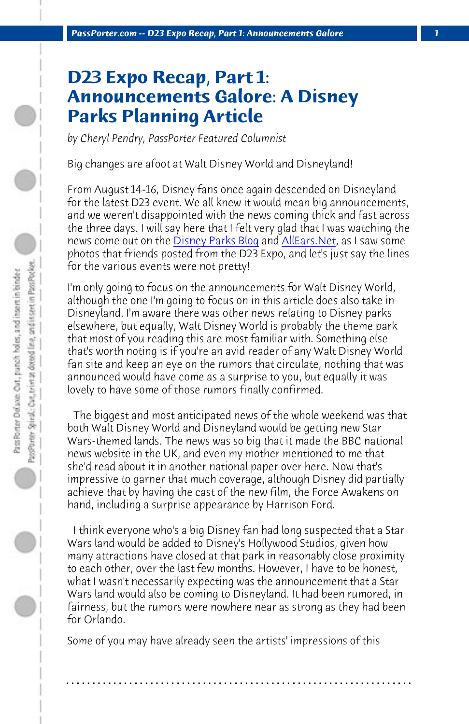*PassPorter.com -- D23 E[xpo Recap, Part 1: Ann](http://www.disneyparksblog.com)oun[cements Galor](http://www.allears.net)e 1*

## **D23 Expo Recap, Part 1: Announcements Galore: A Disney Parks Planning Article**

*by Cheryl Pendry, PassPorter Featured Columnist*

Big changes are afoot at Walt Disney World and Disneyland!

From August 14-16, Disney fans once again descended on Disneyland for the latest D23 event. We all knew it would mean big announcements, and we weren't disappointed with the news coming thick and fast across the three days. I will say here that I felt very glad that I was watching the news come out on the Disney Parks Blog and AllEars. Net, as I saw some photos that friends posted from the D23 Expo, and let's just say the lines for the various events were not pretty!

I'm only going to focus on the announcements for Walt Disney World, although the one I'm going to focus on in this article does also take in Disneyland. I'm aware there was other news relating to Disney parks elsewhere, but equally, Walt Disney World is probably the theme park that most of you reading this are most familiar with. Something else that's worth noting is if you're an avid reader of any Walt Disney World fan site and keep an eye on the rumors that circulate, nothing that was announced would have come as a surprise to you, but equally it was lovely to have some of those rumors finally confirmed.

 The biggest and most anticipated news of the whole weekend was that both Walt Disney World and Disneyland would be getting new Star Wars-themed lands. The news was so big that it made the BBC national news website in the UK, and even my mother mentioned to me that she'd read about it in another national paper over here. Now that's impressive to garner that much coverage, although Disney did partially achieve that by having the cast of the new film, the Force Awakens on hand, including a surprise appearance by Harrison Ford.

 I think everyone who's a big Disney fan had long suspected that a Star Wars land would be added to Disney's Hollywood Studios, given how many attractions have closed at that park in reasonably close proximity to each other, over the last few months. However, I have to be honest, what I wasn't necessarily expecting was the announcement that a Star Wars land would also be coming to Disneyland. It had been rumored, in fairness, but the rumors were nowhere near as strong as they had been for Orlando.

**. . . . . . . . . . . . . . . . . . . . . . . . . . . . . . . . . . . . . . . . . . . . . . . . . . . . . . . . . . . . . . . . . .**

Some of you may have already seen the artists' impressions of this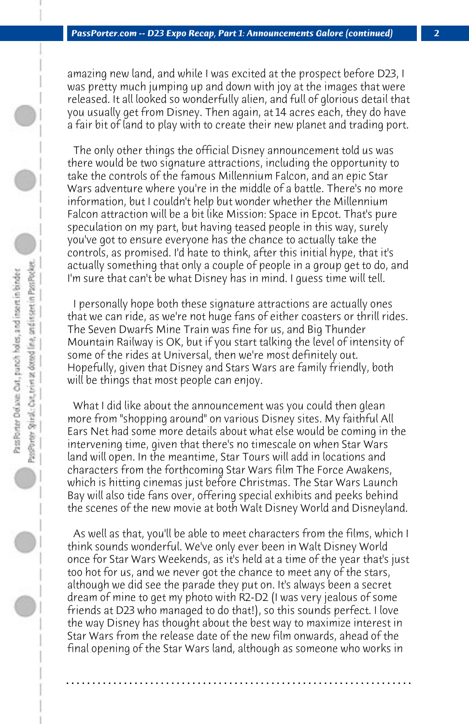amazing new land, and while I was excited at the prospect before D23, I was pretty much jumping up and down with joy at the images that were released. It all looked so wonderfully alien, and full of glorious detail that you usually get from Disney. Then again, at 14 acres each, they do have a fair bit of land to play with to create their new planet and trading port.

 The only other things the official Disney announcement told us was there would be two signature attractions, including the opportunity to take the controls of the famous Millennium Falcon, and an epic Star Wars adventure where you're in the middle of a battle. There's no more information, but I couldn't help but wonder whether the Millennium Falcon attraction will be a bit like Mission: Space in Epcot. That's pure speculation on my part, but having teased people in this way, surely you've got to ensure everyone has the chance to actually take the controls, as promised. I'd hate to think, after this initial hype, that it's actually something that only a couple of people in a group get to do, and I'm sure that can't be what Disney has in mind. I guess time will tell.

 I personally hope both these signature attractions are actually ones that we can ride, as we're not huge fans of either coasters or thrill rides. The Seven Dwarfs Mine Train was fine for us, and Big Thunder Mountain Railway is OK, but if you start talking the level of intensity of some of the rides at Universal, then we're most definitely out. Hopefully, given that Disney and Stars Wars are family friendly, both will be things that most people can enjoy.

 What I did like about the announcement was you could then glean more from "shopping around" on various Disney sites. My faithful All Ears Net had some more details about what else would be coming in the intervening time, given that there's no timescale on when Star Wars land will open. In the meantime, Star Tours will add in locations and characters from the forthcoming Star Wars film The Force Awakens, which is hitting cinemas just before Christmas. The Star Wars Launch Bay will also tide fans over, offering special exhibits and peeks behind the scenes of the new movie at both Walt Disney World and Disneyland.

 As well as that, you'll be able to meet characters from the films, which I think sounds wonderful. We've only ever been in Walt Disney World once for Star Wars Weekends, as it's held at a time of the year that's just too hot for us, and we never got the chance to meet any of the stars, although we did see the parade they put on. It's always been a secret dream of mine to get my photo with R2-D2 (I was very jealous of some friends at D23 who managed to do that!), so this sounds perfect. I love the way Disney has thought about the best way to maximize interest in Star Wars from the release date of the new film onwards, ahead of the final opening of the Star Wars land, although as someone who works in

**. . . . . . . . . . . . . . . . . . . . . . . . . . . . . . . . . . . . . . . . . . . . . . . . . . . . . . . . . . . . . . . . . .**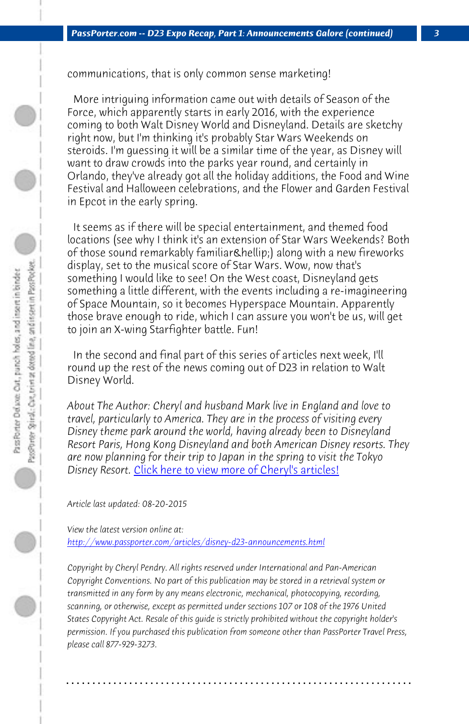*PassPorter.com -- D23 Expo Recap, Part 1: Announcements Galore (continued) 3*

communications, that is only common sense marketing!

 More intriguing information came out with details of Season of the Force, which apparently starts in early 2016, with the experience coming to both Walt Disney World and Disneyland. Details are sketchy right now, but I'm thinking it's probably Star Wars Weekends on steroids. I'm guessing it will be a similar time of the year, as Disney will want to draw crowds into the parks year round, and certainly in Orlando, they've already got all the holiday additions, the Food and Wine Festival and Halloween celebrations, and the Flower and Garden Festival in Epcot in the early spring.

 It seems as if there will be special entertainment, and themed food locations (see why I think it's an extension of Star Wars Weekends? Both of those sound remarkably familiar & hellip;) along with a new fireworks display, set to the musical score of Star Wars. Wow, now that's something I would like to see! On the West coast, Disneyland gets something a little different, with the events including a re-imagineering of Space Mountain, so it becomes Hyperspace Mountain. Apparently those brave enough to ride, which I can assure you won't be us, will get [to join an X-wing Starfighter battle. Fun!](http://www.passporter.com/articles/disney-d23-announcements.php)

 In the second and final part of this series of articles next week, I'll round up the rest of the news coming out of D23 in relation to Walt Disney World.

*About The Author: Cheryl and husband Mark live in England and love to travel, particularly to America. They are in the process of visiting every Disney theme park around the world, having already been to Disneyland Resort Paris, Hong Kong Disneyland and both American Disney resorts. They are now planning for their trip to Japan in the spring to visit the Tokyo Disney Resort.* Click here to view more of Cheryl's articles!

*Article last updated: 08-20-2015*

*View the latest version online at: http://www.passporter.com/articles/disney-d23-announcements.html*

*Copyright by Cheryl Pendry. All rights reserved under International and Pan-American Copyright Conventions. No part of this publication may be stored in a retrieval system or transmitted in any form by any means electronic, mechanical, photocopying, recording, scanning, or otherwise, except as permitted under sections 107 or 108 of the 1976 United States Copyright Act. Resale of this guide is strictly prohibited without the copyright holder's permission. If you purchased this publication from someone other than PassPorter Travel Press, please call 877-929-3273.*

**. . . . . . . . . . . . . . . . . . . . . . . . . . . . . . . . . . . . . . . . . . . . . . . . . . . . . . . . . . . . . . . . . .**